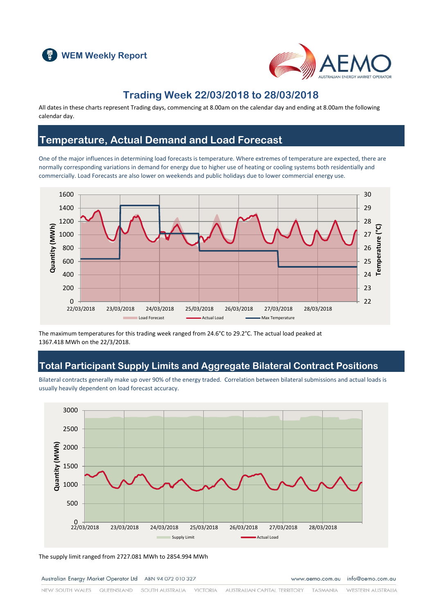



### **Trading Week 22/03/2018 to 28/03/2018**

All dates in these charts represent Trading days, commencing at 8.00am on the calendar day and ending at 8.00am the following calendar day.

### **Temperature, Actual Demand and Load Forecast**

One of the major influences in determining load forecasts is temperature. Where extremes of temperature are expected, there are normally corresponding variations in demand for energy due to higher use of heating or cooling systems both residentially and commercially. Load Forecasts are also lower on weekends and public holidays due to lower commercial energy use.



The maximum temperatures for this trading week ranged from 24.6°C to 29.2°C. The actual load peaked at 1367.418 MWh on the 22/3/2018.

### **Total Participant Supply Limits and Aggregate Bilateral Contract Positions**

Bilateral contracts generally make up over 90% of the energy traded. Correlation between bilateral submissions and actual loads is usually heavily dependent on load forecast accuracy.



The supply limit ranged from 2727.081 MWh to 2854.994 MWh

Australian Energy Market Operator Ltd ABN 94 072 010 327

www.aemo.com.au info@aemo.com.au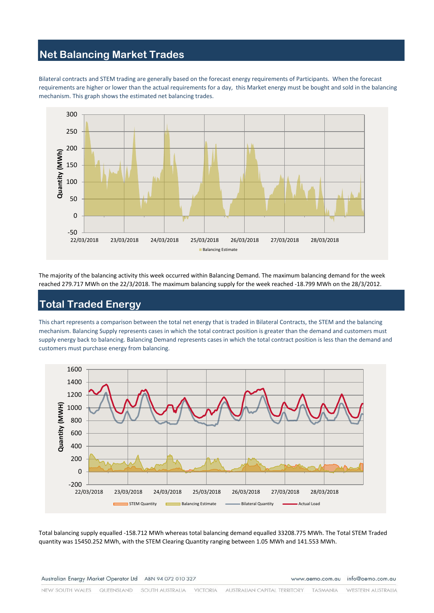# **Net Balancing Market Trades**

Bilateral contracts and STEM trading are generally based on the forecast energy requirements of Participants. When the forecast requirements are higher or lower than the actual requirements for a day, this Market energy must be bought and sold in the balancing mechanism. This graph shows the estimated net balancing trades.



The majority of the balancing activity this week occurred within Balancing Demand. The maximum balancing demand for the week reached 279.717 MWh on the 22/3/2018. The maximum balancing supply for the week reached -18.799 MWh on the 28/3/2012.

### **Total Traded Energy**

This chart represents a comparison between the total net energy that is traded in Bilateral Contracts, the STEM and the balancing mechanism. Balancing Supply represents cases in which the total contract position is greater than the demand and customers must supply energy back to balancing. Balancing Demand represents cases in which the total contract position is less than the demand and customers must purchase energy from balancing.



Total balancing supply equalled -158.712 MWh whereas total balancing demand equalled 33208.775 MWh. The Total STEM Traded quantity was 15450.252 MWh, with the STEM Clearing Quantity ranging between 1.05 MWh and 141.553 MWh.